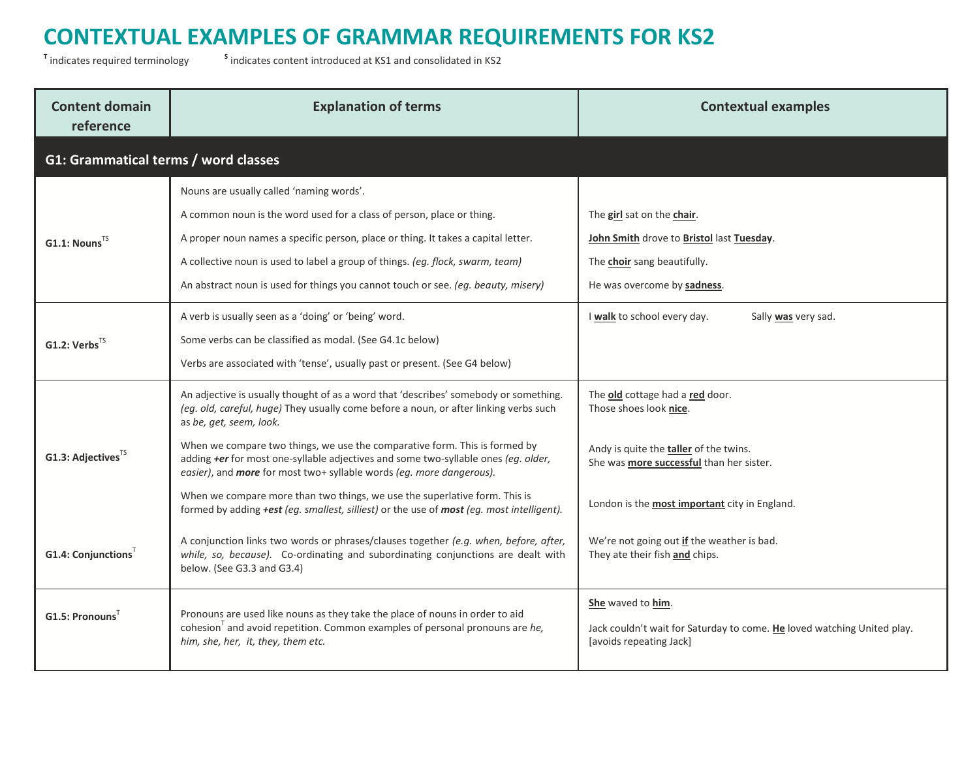<sup>T</sup> indicates required terminology s

| <b>Content domain</b><br>reference   | <b>Explanation of terms</b>                                                                                                                                                                                                                                                                                                                                                                                                                                                                                                                                                                                                     | <b>Contextual examples</b>                                                                                                                                                                              |
|--------------------------------------|---------------------------------------------------------------------------------------------------------------------------------------------------------------------------------------------------------------------------------------------------------------------------------------------------------------------------------------------------------------------------------------------------------------------------------------------------------------------------------------------------------------------------------------------------------------------------------------------------------------------------------|---------------------------------------------------------------------------------------------------------------------------------------------------------------------------------------------------------|
| G1: Grammatical terms / word classes |                                                                                                                                                                                                                                                                                                                                                                                                                                                                                                                                                                                                                                 |                                                                                                                                                                                                         |
| $G1.1: Nouns^{TS}$                   | Nouns are usually called 'naming words'.<br>A common noun is the word used for a class of person, place or thing.<br>A proper noun names a specific person, place or thing. It takes a capital letter.<br>A collective noun is used to label a group of things. (eg. flock, swarm, team)<br>An abstract noun is used for things you cannot touch or see. (eg. beauty, misery)                                                                                                                                                                                                                                                   | The girl sat on the chair.<br>John Smith drove to Bristol last Tuesday.<br>The choir sang beautifully.<br>He was overcome by sadness.                                                                   |
| G1.2: $Verbs^{TS}$                   | A verb is usually seen as a 'doing' or 'being' word.<br>Some verbs can be classified as modal. (See G4.1c below)<br>Verbs are associated with 'tense', usually past or present. (See G4 below)                                                                                                                                                                                                                                                                                                                                                                                                                                  | I walk to school every day.<br>Sally was very sad.                                                                                                                                                      |
| G1.3: Adjectives <sup>TS</sup>       | An adjective is usually thought of as a word that 'describes' somebody or something.<br>(eg. old, careful, huge) They usually come before a noun, or after linking verbs such<br>as be, get, seem, look.<br>When we compare two things, we use the comparative form. This is formed by<br>adding +er for most one-syllable adjectives and some two-syllable ones (eg. older,<br>easier), and more for most two+ syllable words (eg. more dangerous).<br>When we compare more than two things, we use the superlative form. This is<br>formed by adding +est (eg. smallest, silliest) or the use of most (eg. most intelligent). | The old cottage had a red door.<br>Those shoes look nice.<br>Andy is quite the <b>taller</b> of the twins.<br>She was more successful than her sister.<br>London is the most important city in England. |
| $G1.4$ : Conjunctions <sup>T</sup>   | A conjunction links two words or phrases/clauses together (e.g. when, before, after,<br>while, so, because). Co-ordinating and subordinating conjunctions are dealt with<br>below. (See G3.3 and G3.4)                                                                                                                                                                                                                                                                                                                                                                                                                          | We're not going out if the weather is bad.<br>They ate their fish and chips.                                                                                                                            |
| $G1.5:$ Pronouns                     | Pronouns are used like nouns as they take the place of nouns in order to aid<br>cohesion <sup>T</sup> and avoid repetition. Common examples of personal pronouns are $he$ ,<br>him, she, her, it, they, them etc.                                                                                                                                                                                                                                                                                                                                                                                                               | She waved to him.<br>Jack couldn't wait for Saturday to come. He loved watching United play.<br>[avoids repeating Jack]                                                                                 |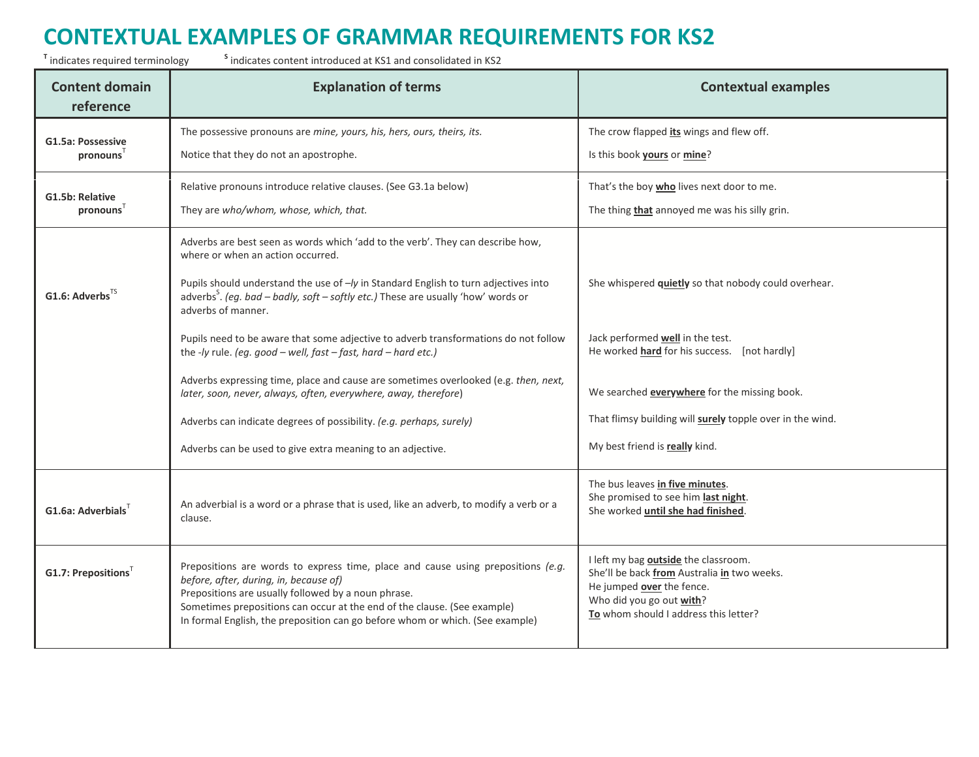<sup>T</sup> indicates required terminology s

| <b>Content domain</b><br>reference | <b>Explanation of terms</b>                                                                                                                                                                                                                                                                                                                    | <b>Contextual examples</b>                                                                                                                                                            |
|------------------------------------|------------------------------------------------------------------------------------------------------------------------------------------------------------------------------------------------------------------------------------------------------------------------------------------------------------------------------------------------|---------------------------------------------------------------------------------------------------------------------------------------------------------------------------------------|
| G1.5a: Possessive                  | The possessive pronouns are mine, yours, his, hers, ours, theirs, its.                                                                                                                                                                                                                                                                         | The crow flapped its wings and flew off.                                                                                                                                              |
| pronouns'                          | Notice that they do not an apostrophe.                                                                                                                                                                                                                                                                                                         | Is this book yours or mine?                                                                                                                                                           |
| G1.5b: Relative                    | Relative pronouns introduce relative clauses. (See G3.1a below)                                                                                                                                                                                                                                                                                | That's the boy who lives next door to me.                                                                                                                                             |
| pronouns <sup>T</sup>              | They are who/whom, whose, which, that.                                                                                                                                                                                                                                                                                                         | The thing that annoyed me was his silly grin.                                                                                                                                         |
|                                    | Adverbs are best seen as words which 'add to the verb'. They can describe how,<br>where or when an action occurred.                                                                                                                                                                                                                            |                                                                                                                                                                                       |
| G1.6: Adverbs <sup>TS</sup>        | Pupils should understand the use of -/y in Standard English to turn adjectives into<br>adverbs <sup>5</sup> . (eg. bad – badly, soft – softly etc.) These are usually 'how' words or<br>adverbs of manner.                                                                                                                                     | She whispered quietly so that nobody could overhear.                                                                                                                                  |
|                                    | Pupils need to be aware that some adjective to adverb transformations do not follow<br>the -ly rule. (eg. good - well, fast - fast, hard - hard etc.)                                                                                                                                                                                          | Jack performed well in the test.<br>He worked <b>hard</b> for his success. [not hardly]                                                                                               |
|                                    | Adverbs expressing time, place and cause are sometimes overlooked (e.g. then, next,<br>later, soon, never, always, often, everywhere, away, therefore)                                                                                                                                                                                         | We searched <b>everywhere</b> for the missing book.                                                                                                                                   |
|                                    | Adverbs can indicate degrees of possibility. (e.g. perhaps, surely)                                                                                                                                                                                                                                                                            | That flimsy building will surely topple over in the wind.                                                                                                                             |
|                                    | Adverbs can be used to give extra meaning to an adjective.                                                                                                                                                                                                                                                                                     | My best friend is really kind.                                                                                                                                                        |
| G1.6a: Adverbials <sup>T</sup>     | An adverbial is a word or a phrase that is used, like an adverb, to modify a verb or a<br>clause.                                                                                                                                                                                                                                              | The bus leaves in five minutes.<br>She promised to see him last night.<br>She worked until she had finished.                                                                          |
| $G1.7$ : Prepositions <sup>T</sup> | Prepositions are words to express time, place and cause using prepositions (e.g.<br>before, after, during, in, because of)<br>Prepositions are usually followed by a noun phrase.<br>Sometimes prepositions can occur at the end of the clause. (See example)<br>In formal English, the preposition can go before whom or which. (See example) | I left my bag outside the classroom.<br>She'll be back from Australia in two weeks.<br>He jumped over the fence.<br>Who did you go out with?<br>To whom should I address this letter? |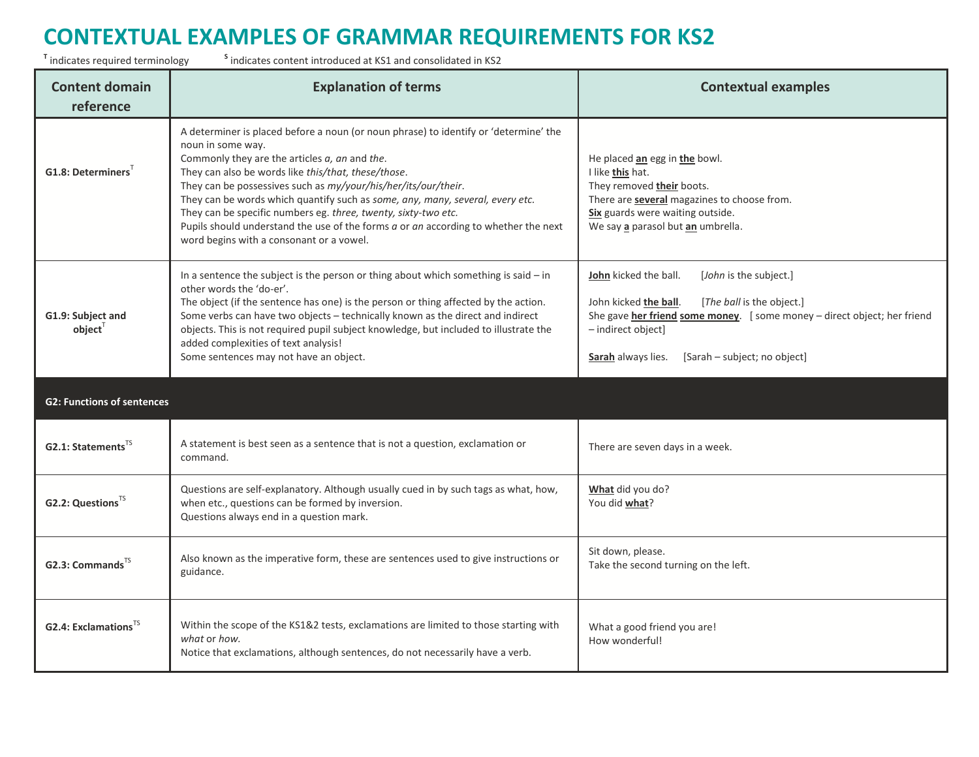<sup>T</sup> indicates required terminology s

| <b>Content domain</b><br>reference      | <b>Explanation of terms</b>                                                                                                                                                                                                                                                                                                                                                                                                                                                                                                                                                        | <b>Contextual examples</b>                                                                                                                                                                                                                                   |
|-----------------------------------------|------------------------------------------------------------------------------------------------------------------------------------------------------------------------------------------------------------------------------------------------------------------------------------------------------------------------------------------------------------------------------------------------------------------------------------------------------------------------------------------------------------------------------------------------------------------------------------|--------------------------------------------------------------------------------------------------------------------------------------------------------------------------------------------------------------------------------------------------------------|
| $G1.8:$ Determiners                     | A determiner is placed before a noun (or noun phrase) to identify or 'determine' the<br>noun in some way.<br>Commonly they are the articles $a$ , $an$ and the.<br>They can also be words like this/that, these/those.<br>They can be possessives such as my/your/his/her/its/our/their.<br>They can be words which quantify such as some, any, many, several, every etc.<br>They can be specific numbers eg. three, twenty, sixty-two etc.<br>Pupils should understand the use of the forms $a$ or $an$ according to whether the next<br>word begins with a consonant or a vowel. | He placed an egg in the bowl.<br>I like this hat.<br>They removed their boots.<br>There are several magazines to choose from.<br>Six guards were waiting outside.<br>We say a parasol but an umbrella.                                                       |
| G1.9: Subject and<br>$object^{\top}$    | In a sentence the subject is the person or thing about which something is said $-$ in<br>other words the 'do-er'.<br>The object (if the sentence has one) is the person or thing affected by the action.<br>Some verbs can have two objects - technically known as the direct and indirect<br>objects. This is not required pupil subject knowledge, but included to illustrate the<br>added complexities of text analysis!<br>Some sentences may not have an object.                                                                                                              | John kicked the ball.<br>[John is the subject.]<br>[The ball is the object.]<br>John kicked the ball.<br>She gave her friend some money. [some money - direct object; her friend<br>- indirect object]<br>[Sarah - subject; no object]<br>Sarah always lies. |
| <b>G2: Functions of sentences</b>       |                                                                                                                                                                                                                                                                                                                                                                                                                                                                                                                                                                                    |                                                                                                                                                                                                                                                              |
| G2.1: Statements <sup>TS</sup>          | A statement is best seen as a sentence that is not a question, exclamation or<br>command.                                                                                                                                                                                                                                                                                                                                                                                                                                                                                          | There are seven days in a week.                                                                                                                                                                                                                              |
| G2.2: Questions <sup>TS</sup>           | Questions are self-explanatory. Although usually cued in by such tags as what, how,<br>when etc., questions can be formed by inversion.<br>Questions always end in a question mark.                                                                                                                                                                                                                                                                                                                                                                                                | What did you do?<br>You did what?                                                                                                                                                                                                                            |
| G2.3: Commands <sup>TS</sup>            | Also known as the imperative form, these are sentences used to give instructions or<br>guidance.                                                                                                                                                                                                                                                                                                                                                                                                                                                                                   | Sit down, please.<br>Take the second turning on the left.                                                                                                                                                                                                    |
| <b>G2.4: Exclamations</b> <sup>15</sup> | Within the scope of the KS1&2 tests, exclamations are limited to those starting with<br>what or how.<br>Notice that exclamations, although sentences, do not necessarily have a verb.                                                                                                                                                                                                                                                                                                                                                                                              | What a good friend you are!<br>How wonderful!                                                                                                                                                                                                                |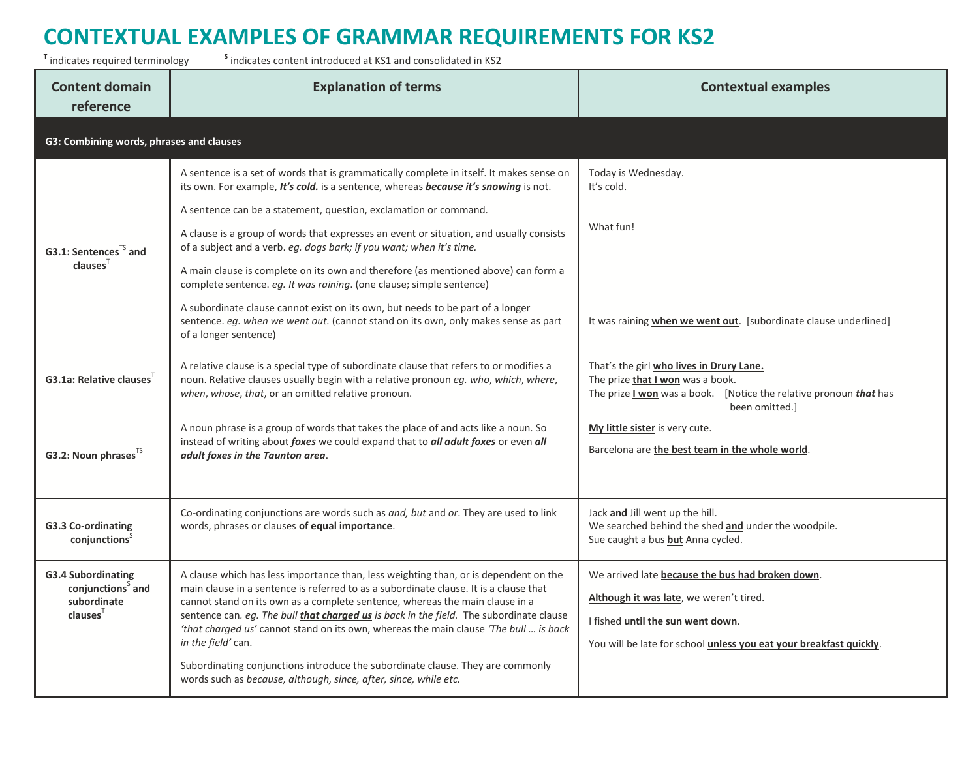<sup>T</sup> indicates required terminology s <sup>s</sup> indicates content introduced at KS1 and consolidated in KS2

| <b>Content domain</b><br>reference                                                       | <b>Explanation of terms</b>                                                                                                                                                                                                                                                                                                                                                                                                                                                                                                                                                                                                                                                                                                                                                            | <b>Contextual examples</b>                                                                                                                                                                                             |
|------------------------------------------------------------------------------------------|----------------------------------------------------------------------------------------------------------------------------------------------------------------------------------------------------------------------------------------------------------------------------------------------------------------------------------------------------------------------------------------------------------------------------------------------------------------------------------------------------------------------------------------------------------------------------------------------------------------------------------------------------------------------------------------------------------------------------------------------------------------------------------------|------------------------------------------------------------------------------------------------------------------------------------------------------------------------------------------------------------------------|
| G3: Combining words, phrases and clauses                                                 |                                                                                                                                                                                                                                                                                                                                                                                                                                                                                                                                                                                                                                                                                                                                                                                        |                                                                                                                                                                                                                        |
| G3.1: Sentences <sup>TS</sup> and<br>clauses <sup>T</sup>                                | A sentence is a set of words that is grammatically complete in itself. It makes sense on<br>its own. For example, It's cold. is a sentence, whereas because it's snowing is not.<br>A sentence can be a statement, question, exclamation or command.<br>A clause is a group of words that expresses an event or situation, and usually consists<br>of a subject and a verb. eg. dogs bark; if you want; when it's time.<br>A main clause is complete on its own and therefore (as mentioned above) can form a<br>complete sentence. eg. It was raining. (one clause; simple sentence)<br>A subordinate clause cannot exist on its own, but needs to be part of a longer<br>sentence. eg. when we went out. (cannot stand on its own, only makes sense as part<br>of a longer sentence) | Today is Wednesday.<br>It's cold.<br>What fun!<br>It was raining when we went out. [subordinate clause underlined]                                                                                                     |
| G3.1a: Relative clauses                                                                  | A relative clause is a special type of subordinate clause that refers to or modifies a<br>noun. Relative clauses usually begin with a relative pronoun eg. who, which, where,<br>when, whose, that, or an omitted relative pronoun.                                                                                                                                                                                                                                                                                                                                                                                                                                                                                                                                                    | That's the girl who lives in Drury Lane.<br>The prize <b>that I won</b> was a book.<br>The prize I won was a book. [Notice the relative pronoun that has<br>been omitted.]                                             |
| G3.2: Noun phrases <sup>15</sup>                                                         | A noun phrase is a group of words that takes the place of and acts like a noun. So<br>instead of writing about foxes we could expand that to all adult foxes or even all<br>adult foxes in the Taunton area.                                                                                                                                                                                                                                                                                                                                                                                                                                                                                                                                                                           | My little sister is very cute.<br>Barcelona are the best team in the whole world.                                                                                                                                      |
| G3.3 Co-ordinating<br>conjunctions                                                       | Co-ordinating conjunctions are words such as and, but and or. They are used to link<br>words, phrases or clauses of equal importance.                                                                                                                                                                                                                                                                                                                                                                                                                                                                                                                                                                                                                                                  | Jack and Jill went up the hill.<br>We searched behind the shed and under the woodpile.<br>Sue caught a bus but Anna cycled.                                                                                            |
| <b>G3.4 Subordinating</b><br>conjunctions <sup>5</sup> and<br>subordinate<br>$clauses^T$ | A clause which has less importance than, less weighting than, or is dependent on the<br>main clause in a sentence is referred to as a subordinate clause. It is a clause that<br>cannot stand on its own as a complete sentence, whereas the main clause in a<br>sentence can. eg. The bull <i>that charged us</i> is back in the field. The subordinate clause<br>'that charged us' cannot stand on its own, whereas the main clause 'The bull  is back<br>in the field' can.<br>Subordinating conjunctions introduce the subordinate clause. They are commonly<br>words such as because, although, since, after, since, while etc.                                                                                                                                                   | We arrived late because the bus had broken down.<br>Although it was late, we weren't tired.<br>I fished <i>until the sun went down</i> .<br>You will be late for school <i>unless you eat your breakfast quickly</i> . |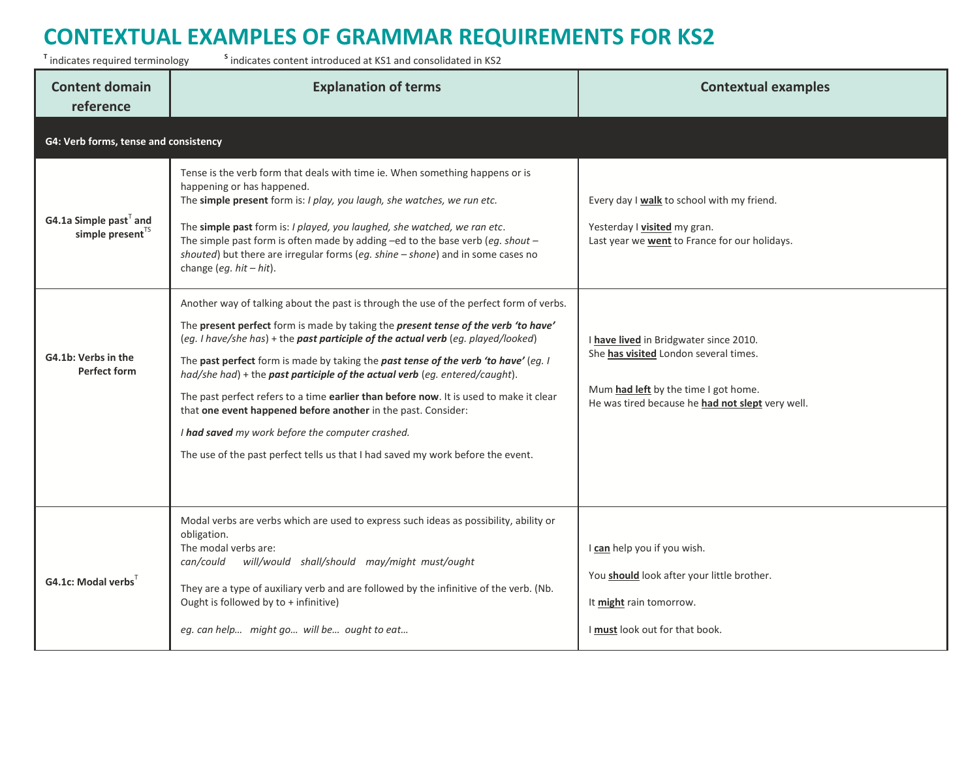<sup>T</sup> indicates required terminology s <sup>s</sup> indicates content introduced at KS1 and consolidated in KS2

| <b>Content domain</b><br>reference                        | <b>Explanation of terms</b>                                                                                                                                                                                                                                                                                                                                                                                                                                                                                                                                                                                                                                                                                                               | <b>Contextual examples</b>                                                                                                                                                  |
|-----------------------------------------------------------|-------------------------------------------------------------------------------------------------------------------------------------------------------------------------------------------------------------------------------------------------------------------------------------------------------------------------------------------------------------------------------------------------------------------------------------------------------------------------------------------------------------------------------------------------------------------------------------------------------------------------------------------------------------------------------------------------------------------------------------------|-----------------------------------------------------------------------------------------------------------------------------------------------------------------------------|
| G4: Verb forms, tense and consistency                     |                                                                                                                                                                                                                                                                                                                                                                                                                                                                                                                                                                                                                                                                                                                                           |                                                                                                                                                                             |
| G4.1a Simple past $T$ and<br>simple present <sup>TS</sup> | Tense is the verb form that deals with time ie. When something happens or is<br>happening or has happened.<br>The simple present form is: I play, you laugh, she watches, we run etc.<br>The simple past form is: I played, you laughed, she watched, we ran etc.<br>The simple past form is often made by adding -ed to the base verb (eg. shout -<br>shouted) but there are irregular forms (eg. shine - shone) and in some cases no<br>change (eg. $hit - hit$ ).                                                                                                                                                                                                                                                                      | Every day I walk to school with my friend.<br>Yesterday I visited my gran.<br>Last year we <b>went</b> to France for our holidays.                                          |
| G4.1b: Verbs in the<br><b>Perfect form</b>                | Another way of talking about the past is through the use of the perfect form of verbs.<br>The present perfect form is made by taking the present tense of the verb 'to have'<br>(eg. I have/she has) + the past participle of the actual verb (eg. played/looked)<br>The past perfect form is made by taking the past tense of the verb 'to have' (eg. I<br>had/she had) + the past participle of the actual verb (eg. entered/caught).<br>The past perfect refers to a time earlier than before now. It is used to make it clear<br>that one event happened before another in the past. Consider:<br>I had saved my work before the computer crashed.<br>The use of the past perfect tells us that I had saved my work before the event. | I have lived in Bridgwater since 2010.<br>She has visited London several times.<br>Mum had left by the time I got home.<br>He was tired because he had not slept very well. |
| G4.1c: Modal verbs                                        | Modal verbs are verbs which are used to express such ideas as possibility, ability or<br>obligation.<br>The modal verbs are:<br>will/would shall/should may/might must/ought<br>can/could<br>They are a type of auxiliary verb and are followed by the infinitive of the verb. (Nb.<br>Ought is followed by to + infinitive)<br>eg. can help might go will be ought to eat                                                                                                                                                                                                                                                                                                                                                                | I can help you if you wish.<br>You should look after your little brother.<br>It might rain tomorrow.<br>I must look out for that book.                                      |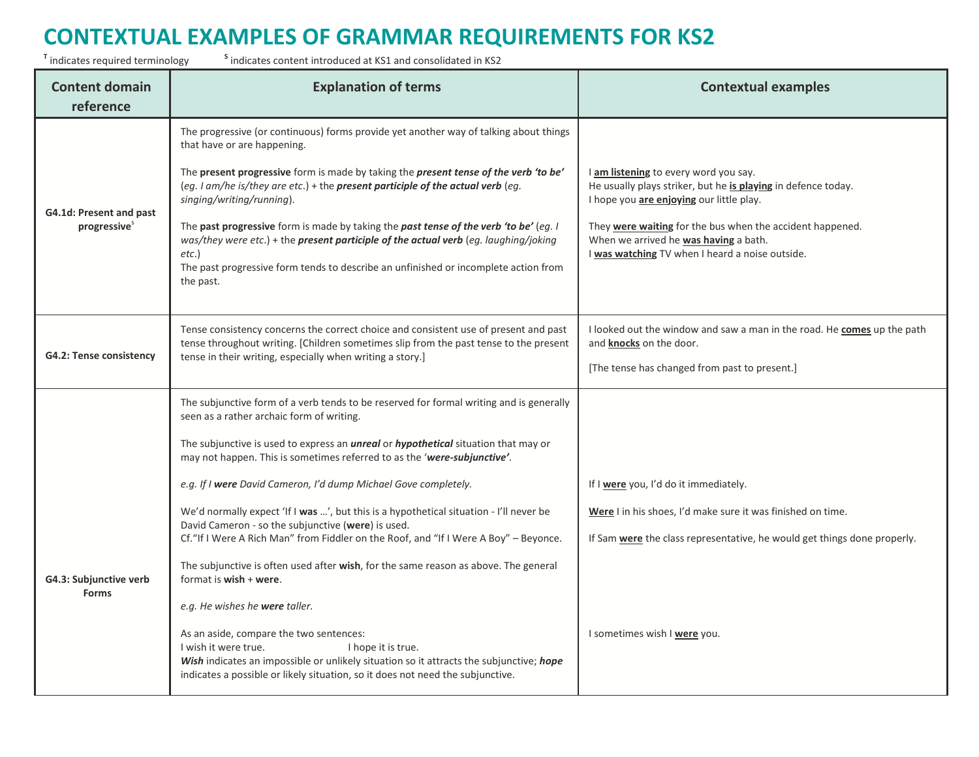<sup>T</sup> indicates required terminology s

| <b>Content domain</b><br>reference                  | <b>Explanation of terms</b>                                                                                                                                                                                                                                                                                                                                                                                                                                                                                                                                                                                                   | <b>Contextual examples</b>                                                                                                                                                                                                                                                                                  |
|-----------------------------------------------------|-------------------------------------------------------------------------------------------------------------------------------------------------------------------------------------------------------------------------------------------------------------------------------------------------------------------------------------------------------------------------------------------------------------------------------------------------------------------------------------------------------------------------------------------------------------------------------------------------------------------------------|-------------------------------------------------------------------------------------------------------------------------------------------------------------------------------------------------------------------------------------------------------------------------------------------------------------|
| G4.1d: Present and past<br>progressive <sup>s</sup> | The progressive (or continuous) forms provide yet another way of talking about things<br>that have or are happening.<br>The present progressive form is made by taking the present tense of the verb 'to be'<br>(eg. I am/he is/they are etc.) + the present participle of the actual verb (eg.<br>singing/writing/running).<br>The past progressive form is made by taking the past tense of the verb 'to be' (eg. I<br>was/they were etc.) + the present participle of the actual verb (eg. laughing/joking<br>$etc.$ )<br>The past progressive form tends to describe an unfinished or incomplete action from<br>the past. | I am listening to every word you say.<br>He usually plays striker, but he is playing in defence today.<br>I hope you are enjoying our little play.<br>They were waiting for the bus when the accident happened.<br>When we arrived he was having a bath.<br>I was watching TV when I heard a noise outside. |
| G4.2: Tense consistency                             | Tense consistency concerns the correct choice and consistent use of present and past<br>tense throughout writing. [Children sometimes slip from the past tense to the present<br>tense in their writing, especially when writing a story.]                                                                                                                                                                                                                                                                                                                                                                                    | I looked out the window and saw a man in the road. He <b>comes</b> up the path<br>and knocks on the door.<br>[The tense has changed from past to present.]                                                                                                                                                  |
|                                                     | The subjunctive form of a verb tends to be reserved for formal writing and is generally<br>seen as a rather archaic form of writing.<br>The subjunctive is used to express an <i>unreal</i> or <i>hypothetical</i> situation that may or<br>may not happen. This is sometimes referred to as the 'were-subjunctive'.<br>e.g. If I were David Cameron, I'd dump Michael Gove completely.<br>We'd normally expect 'If I was ', but this is a hypothetical situation - I'll never be                                                                                                                                             | If I were you, I'd do it immediately.<br>Were I in his shoes, I'd make sure it was finished on time.                                                                                                                                                                                                        |
| G4.3: Subjunctive verb<br><b>Forms</b>              | David Cameron - so the subjunctive (were) is used.<br>Cf. "If I Were A Rich Man" from Fiddler on the Roof, and "If I Were A Boy" - Beyonce.<br>The subjunctive is often used after wish, for the same reason as above. The general<br>format is wish + were.<br>e.g. He wishes he <b>were</b> taller.<br>As an aside, compare the two sentences:<br>I wish it were true.<br>I hope it is true.<br>Wish indicates an impossible or unlikely situation so it attracts the subjunctive; hope<br>indicates a possible or likely situation, so it does not need the subjunctive.                                                   | If Sam were the class representative, he would get things done properly.<br>I sometimes wish I were you.                                                                                                                                                                                                    |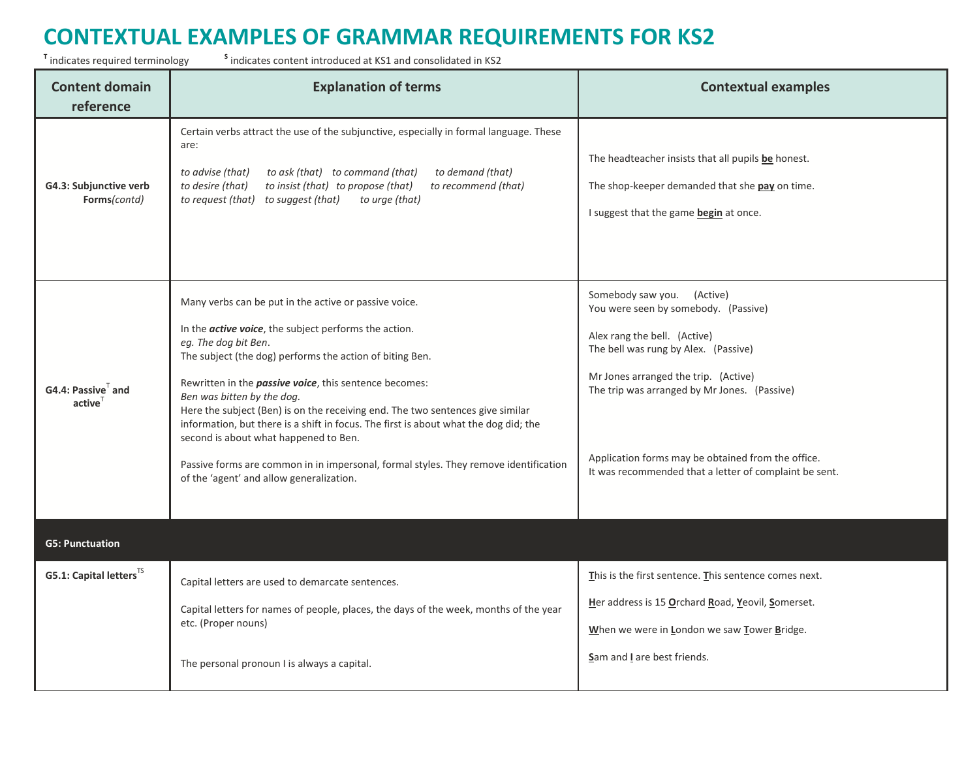<sup>T</sup> indicates required terminology s

| <b>Content domain</b><br>reference     | <b>Explanation of terms</b>                                                                                                                                                                                                                                                                                                                                                                                                                                                                                                                                                                                                                                       | <b>Contextual examples</b>                                                                                                                                                                                                                                                                                                                         |
|----------------------------------------|-------------------------------------------------------------------------------------------------------------------------------------------------------------------------------------------------------------------------------------------------------------------------------------------------------------------------------------------------------------------------------------------------------------------------------------------------------------------------------------------------------------------------------------------------------------------------------------------------------------------------------------------------------------------|----------------------------------------------------------------------------------------------------------------------------------------------------------------------------------------------------------------------------------------------------------------------------------------------------------------------------------------------------|
| G4.3: Subjunctive verb<br>Forms(contd) | Certain verbs attract the use of the subjunctive, especially in formal language. These<br>are:<br>to ask (that) to command (that)<br>to demand (that)<br>to advise (that)<br>to insist (that) to propose (that)<br>to desire (that)<br>to recommend (that)<br>to request (that) to suggest (that)<br>to urge (that)                                                                                                                                                                                                                                                                                                                                               | The headteacher insists that all pupils be honest.<br>The shop-keeper demanded that she pay on time.<br>I suggest that the game begin at once.                                                                                                                                                                                                     |
| G4.4: Passive and<br>active            | Many verbs can be put in the active or passive voice.<br>In the <i>active voice</i> , the subject performs the action.<br>eg. The dog bit Ben.<br>The subject (the dog) performs the action of biting Ben.<br>Rewritten in the <i>passive voice</i> , this sentence becomes:<br>Ben was bitten by the dog.<br>Here the subject (Ben) is on the receiving end. The two sentences give similar<br>information, but there is a shift in focus. The first is about what the dog did; the<br>second is about what happened to Ben.<br>Passive forms are common in in impersonal, formal styles. They remove identification<br>of the 'agent' and allow generalization. | Somebody saw you. (Active)<br>You were seen by somebody. (Passive)<br>Alex rang the bell. (Active)<br>The bell was rung by Alex. (Passive)<br>Mr Jones arranged the trip. (Active)<br>The trip was arranged by Mr Jones. (Passive)<br>Application forms may be obtained from the office.<br>It was recommended that a letter of complaint be sent. |
| <b>G5: Punctuation</b>                 |                                                                                                                                                                                                                                                                                                                                                                                                                                                                                                                                                                                                                                                                   |                                                                                                                                                                                                                                                                                                                                                    |
| G5.1: Capital letters <sup>TS</sup>    | Capital letters are used to demarcate sentences.<br>Capital letters for names of people, places, the days of the week, months of the year<br>etc. (Proper nouns)<br>The personal pronoun I is always a capital.                                                                                                                                                                                                                                                                                                                                                                                                                                                   | This is the first sentence. This sentence comes next.<br>Her address is 15 Orchard Road, Yeovil, Somerset.<br>When we were in London we saw Tower Bridge.<br>Sam and I are best friends.                                                                                                                                                           |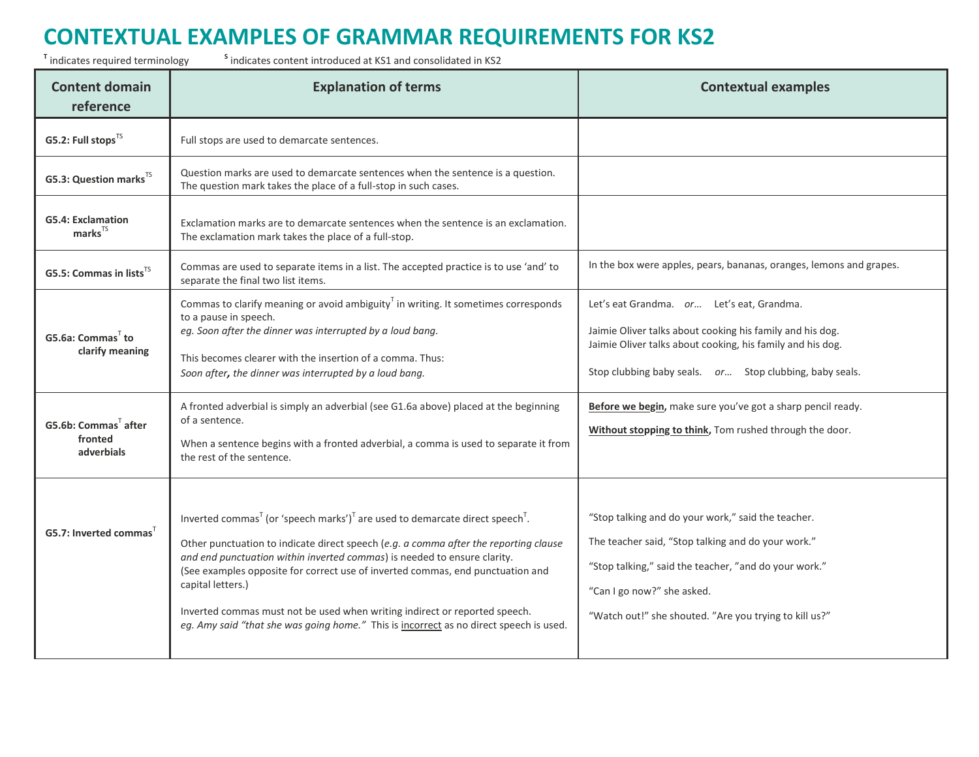<sup>T</sup> indicates required terminology s

| <b>Content domain</b><br>reference                              | <b>Explanation of terms</b>                                                                                                                                                                                                                                                                                                                                                                                                                                                                                                                                         | <b>Contextual examples</b>                                                                                                                                                                                                                                |
|-----------------------------------------------------------------|---------------------------------------------------------------------------------------------------------------------------------------------------------------------------------------------------------------------------------------------------------------------------------------------------------------------------------------------------------------------------------------------------------------------------------------------------------------------------------------------------------------------------------------------------------------------|-----------------------------------------------------------------------------------------------------------------------------------------------------------------------------------------------------------------------------------------------------------|
| G5.2: Full stops <sup>TS</sup>                                  | Full stops are used to demarcate sentences.                                                                                                                                                                                                                                                                                                                                                                                                                                                                                                                         |                                                                                                                                                                                                                                                           |
| G5.3: Question marks <sup>TS</sup>                              | Question marks are used to demarcate sentences when the sentence is a question.<br>The question mark takes the place of a full-stop in such cases.                                                                                                                                                                                                                                                                                                                                                                                                                  |                                                                                                                                                                                                                                                           |
| <b>G5.4: Exclamation</b><br>$marks$ <sup>TS</sup>               | Exclamation marks are to demarcate sentences when the sentence is an exclamation.<br>The exclamation mark takes the place of a full-stop.                                                                                                                                                                                                                                                                                                                                                                                                                           |                                                                                                                                                                                                                                                           |
| G5.5: Commas in lists <sup>TS</sup>                             | Commas are used to separate items in a list. The accepted practice is to use 'and' to<br>separate the final two list items.                                                                                                                                                                                                                                                                                                                                                                                                                                         | In the box were apples, pears, bananas, oranges, lemons and grapes.                                                                                                                                                                                       |
| G5.6a: Commas <sup>T</sup> to<br>clarify meaning                | Commas to clarify meaning or avoid ambiguity <sup><math>T</math></sup> in writing. It sometimes corresponds<br>to a pause in speech.<br>eg. Soon after the dinner was interrupted by a loud bang.<br>This becomes clearer with the insertion of a comma. Thus:<br>Soon after, the dinner was interrupted by a loud bang.                                                                                                                                                                                                                                            | Let's eat Grandma. or Let's eat, Grandma.<br>Jaimie Oliver talks about cooking his family and his dog.<br>Jaimie Oliver talks about cooking, his family and his dog.<br>Stop clubbing baby seals. or Stop clubbing, baby seals.                           |
| <b>G5.6b: Commas<sup>T</sup></b> after<br>fronted<br>adverbials | A fronted adverbial is simply an adverbial (see G1.6a above) placed at the beginning<br>of a sentence.<br>When a sentence begins with a fronted adverbial, a comma is used to separate it from<br>the rest of the sentence.                                                                                                                                                                                                                                                                                                                                         | Before we begin, make sure you've got a sharp pencil ready.<br>Without stopping to think, Tom rushed through the door.                                                                                                                                    |
| G5.7: Inverted commas                                           | Inverted commas <sup>T</sup> (or 'speech marks') <sup>T</sup> are used to demarcate direct speech <sup>T</sup> .<br>Other punctuation to indicate direct speech (e.g. a comma after the reporting clause<br>and end punctuation within inverted commas) is needed to ensure clarity.<br>(See examples opposite for correct use of inverted commas, end punctuation and<br>capital letters.)<br>Inverted commas must not be used when writing indirect or reported speech.<br>eg. Amy said "that she was going home." This is incorrect as no direct speech is used. | "Stop talking and do your work," said the teacher.<br>The teacher said, "Stop talking and do your work."<br>"Stop talking," said the teacher, "and do your work."<br>"Can I go now?" she asked.<br>"Watch out!" she shouted. "Are you trying to kill us?" |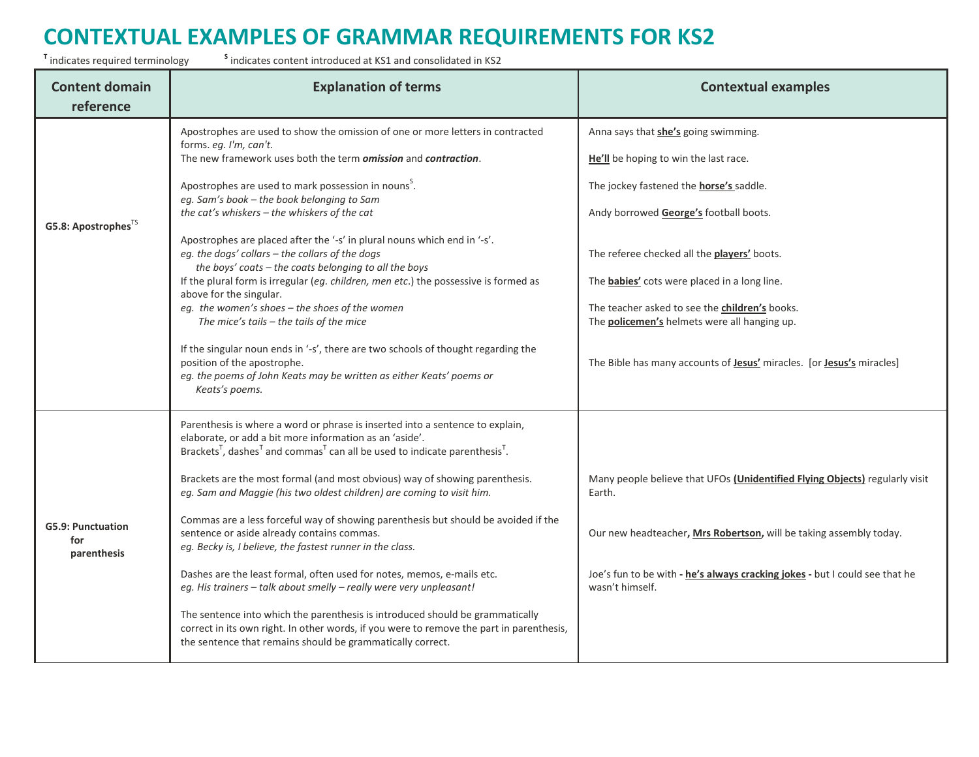<sup>T</sup> indicates required terminology s

| <b>Content domain</b><br>reference             | <b>Explanation of terms</b>                                                                                                                                                                                                                                                  | <b>Contextual examples</b>                                                                            |
|------------------------------------------------|------------------------------------------------------------------------------------------------------------------------------------------------------------------------------------------------------------------------------------------------------------------------------|-------------------------------------------------------------------------------------------------------|
|                                                | Apostrophes are used to show the omission of one or more letters in contracted<br>forms. eg. I'm, can't.<br>The new framework uses both the term omission and contraction.                                                                                                   | Anna says that she's going swimming.<br>He'll be hoping to win the last race.                         |
| G5.8: Apostrophes <sup>TS</sup>                | Apostrophes are used to mark possession in nouns <sup>5</sup> .<br>eg. Sam's book - the book belonging to Sam<br>the cat's whiskers - the whiskers of the cat                                                                                                                | The jockey fastened the <b>horse's</b> saddle.<br>Andy borrowed George's football boots.              |
|                                                | Apostrophes are placed after the '-s' in plural nouns which end in '-s'.<br>eg. the dogs' collars - the collars of the dogs<br>the boys' coats - the coats belonging to all the boys<br>If the plural form is irregular (eg. children, men etc.) the possessive is formed as | The referee checked all the players' boots.<br>The <b>babies'</b> cots were placed in a long line.    |
|                                                | above for the singular.<br>eg. the women's shoes - the shoes of the women<br>The mice's tails $-$ the tails of the mice                                                                                                                                                      | The teacher asked to see the children's books.<br>The <b>policemen's</b> helmets were all hanging up. |
|                                                | If the singular noun ends in '-s', there are two schools of thought regarding the<br>position of the apostrophe.<br>eg. the poems of John Keats may be written as either Keats' poems or<br>Keats's poems.                                                                   | The Bible has many accounts of <b>Jesus'</b> miracles. [or <b>Jesus's</b> miracles]                   |
|                                                | Parenthesis is where a word or phrase is inserted into a sentence to explain,<br>elaborate, or add a bit more information as an 'aside'.<br>Brackets <sup>T</sup> , dashes <sup>T</sup> and commas <sup>T</sup> can all be used to indicate parenthesis <sup>T</sup> .       |                                                                                                       |
| <b>G5.9: Punctuation</b><br>for<br>parenthesis | Brackets are the most formal (and most obvious) way of showing parenthesis.<br>eg. Sam and Maggie (his two oldest children) are coming to visit him.                                                                                                                         | Many people believe that UFOs (Unidentified Flying Objects) regularly visit<br>Earth.                 |
|                                                | Commas are a less forceful way of showing parenthesis but should be avoided if the<br>sentence or aside already contains commas.<br>eg. Becky is, I believe, the fastest runner in the class.                                                                                | Our new headteacher, Mrs Robertson, will be taking assembly today.                                    |
|                                                | Dashes are the least formal, often used for notes, memos, e-mails etc.<br>eg. His trainers - talk about smelly - really were very unpleasant!                                                                                                                                | Joe's fun to be with - he's always cracking jokes - but I could see that he<br>wasn't himself.        |
|                                                | The sentence into which the parenthesis is introduced should be grammatically<br>correct in its own right. In other words, if you were to remove the part in parenthesis,<br>the sentence that remains should be grammatically correct.                                      |                                                                                                       |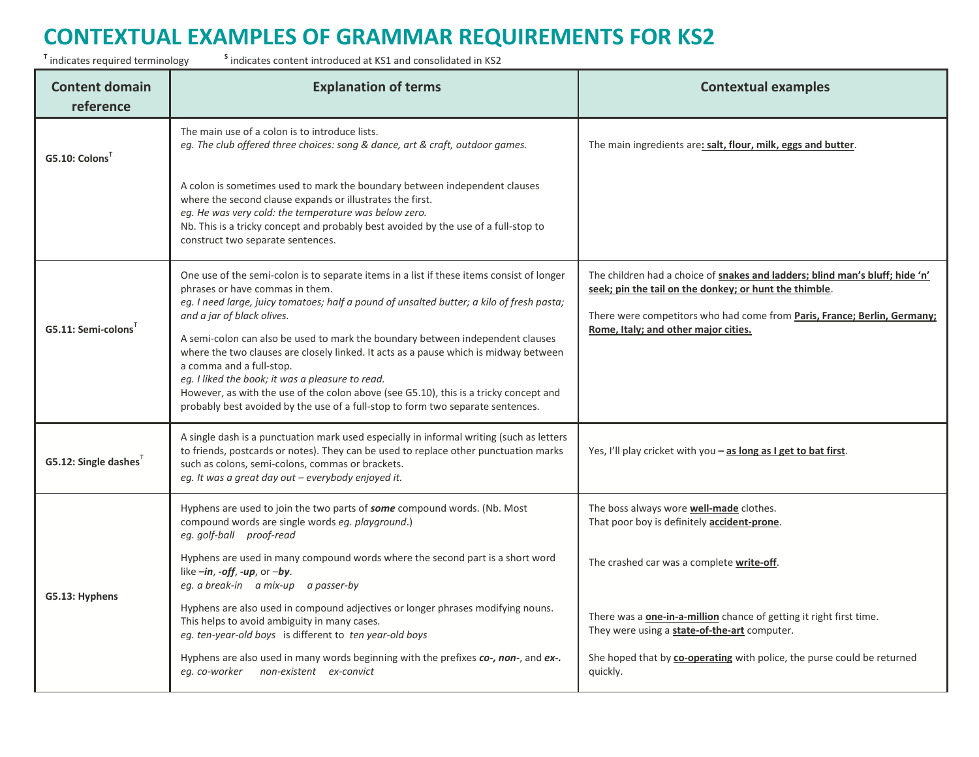<sup>T</sup> indicates required terminology s

| <b>Content domain</b><br>reference | <b>Explanation of terms</b>                                                                                                                                                                                                                                                                                                                                                                                                        | <b>Contextual examples</b>                                                                                                                                                                                         |
|------------------------------------|------------------------------------------------------------------------------------------------------------------------------------------------------------------------------------------------------------------------------------------------------------------------------------------------------------------------------------------------------------------------------------------------------------------------------------|--------------------------------------------------------------------------------------------------------------------------------------------------------------------------------------------------------------------|
| G5.10:Colons'                      | The main use of a colon is to introduce lists.<br>eg. The club offered three choices: song & dance, art & craft, outdoor games.                                                                                                                                                                                                                                                                                                    | The main ingredients are: salt, flour, milk, eggs and butter.                                                                                                                                                      |
|                                    | A colon is sometimes used to mark the boundary between independent clauses<br>where the second clause expands or illustrates the first.<br>eg. He was very cold: the temperature was below zero.<br>Nb. This is a tricky concept and probably best avoided by the use of a full-stop to<br>construct two separate sentences.                                                                                                       |                                                                                                                                                                                                                    |
|                                    | One use of the semi-colon is to separate items in a list if these items consist of longer<br>phrases or have commas in them.<br>eg. I need large, juicy tomatoes; half a pound of unsalted butter; a kilo of fresh pasta;<br>and a jar of black olives.                                                                                                                                                                            | The children had a choice of snakes and ladders; blind man's bluff; hide 'n'<br>seek; pin the tail on the donkey; or hunt the thimble.<br>There were competitors who had come from Paris, France; Berlin, Germany; |
| G5.11: Semi-colons                 | A semi-colon can also be used to mark the boundary between independent clauses<br>where the two clauses are closely linked. It acts as a pause which is midway between<br>a comma and a full-stop.<br>eg. I liked the book; it was a pleasure to read.<br>However, as with the use of the colon above (see G5.10), this is a tricky concept and<br>probably best avoided by the use of a full-stop to form two separate sentences. | Rome, Italy; and other major cities.                                                                                                                                                                               |
| G5.12: Single dashes               | A single dash is a punctuation mark used especially in informal writing (such as letters<br>to friends, postcards or notes). They can be used to replace other punctuation marks<br>such as colons, semi-colons, commas or brackets.<br>eg. It was a great day out - everybody enjoyed it.                                                                                                                                         | Yes, I'll play cricket with you - as long as I get to bat first.                                                                                                                                                   |
|                                    | Hyphens are used to join the two parts of <b>some</b> compound words. (Nb. Most<br>compound words are single words eg. playground.)<br>eg. golf-ball proof-read                                                                                                                                                                                                                                                                    | The boss always wore <b>well-made</b> clothes.<br>That poor boy is definitely <b>accident-prone</b> .                                                                                                              |
| G5.13: Hyphens                     | Hyphens are used in many compound words where the second part is a short word<br>like $-in$ , -off, -up, or -by.<br>eg. a break-in a mix-up a passer-by                                                                                                                                                                                                                                                                            | The crashed car was a complete write-off.                                                                                                                                                                          |
|                                    | Hyphens are also used in compound adjectives or longer phrases modifying nouns.<br>This helps to avoid ambiguity in many cases.<br>eg. ten-year-old boys is different to ten year-old boys                                                                                                                                                                                                                                         | There was a <b>one-in-a-million</b> chance of getting it right first time.<br>They were using a state-of-the-art computer.                                                                                         |
|                                    | Hyphens are also used in many words beginning with the prefixes co-, non-, and ex-.                                                                                                                                                                                                                                                                                                                                                | She hoped that by co-operating with police, the purse could be returned<br>quickly.                                                                                                                                |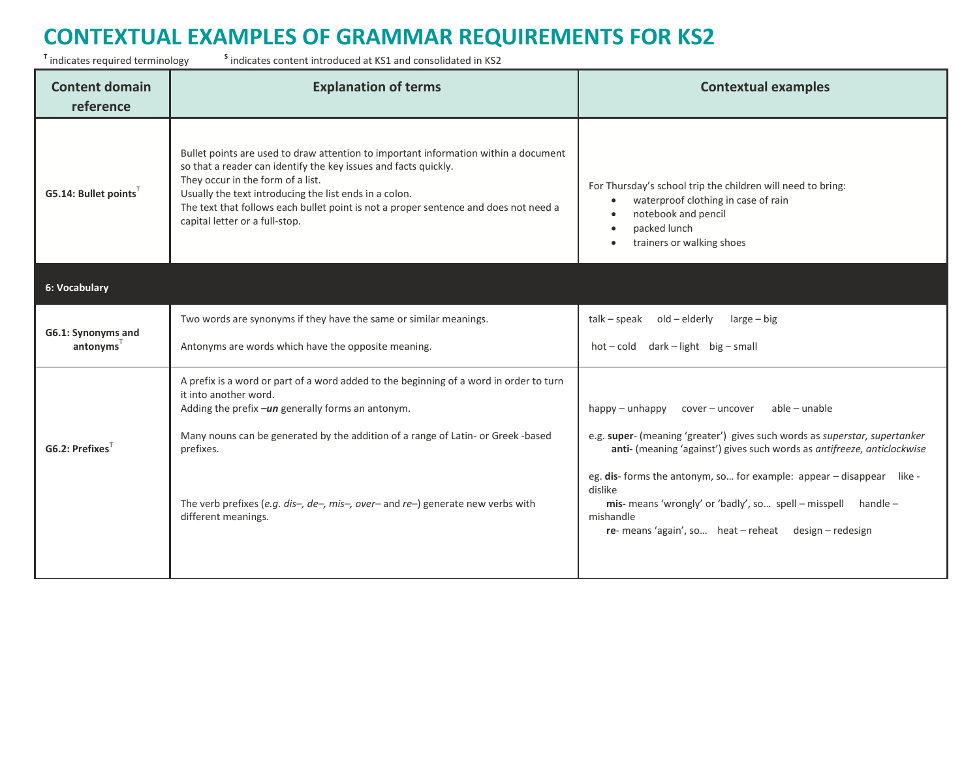<sup>T</sup> indicates required terminology s

 $\frac{s}{s}$  indicates content introduced at KS1 and consolidated in KS2

| <b>Content domain</b><br>reference | <b>Explanation of terms</b>                                                                                                                                                                                                                                                                                                                                                     | <b>Contextual examples</b>                                                                                                                                                                                                                                                                                                                                                                                                          |
|------------------------------------|---------------------------------------------------------------------------------------------------------------------------------------------------------------------------------------------------------------------------------------------------------------------------------------------------------------------------------------------------------------------------------|-------------------------------------------------------------------------------------------------------------------------------------------------------------------------------------------------------------------------------------------------------------------------------------------------------------------------------------------------------------------------------------------------------------------------------------|
| G5.14: Bullet points <sup>T</sup>  | Bullet points are used to draw attention to important information within a document<br>so that a reader can identify the key issues and facts quickly.<br>They occur in the form of a list.<br>Usually the text introducing the list ends in a colon.<br>The text that follows each bullet point is not a proper sentence and does not need a<br>capital letter or a full-stop. | For Thursday's school trip the children will need to bring:<br>waterproof clothing in case of rain<br>$\bullet$<br>notebook and pencil<br>$\bullet$<br>packed lunch<br>$\bullet$<br>trainers or walking shoes<br>$\bullet$                                                                                                                                                                                                          |
| 6: Vocabulary                      |                                                                                                                                                                                                                                                                                                                                                                                 |                                                                                                                                                                                                                                                                                                                                                                                                                                     |
| G6.1: Synonyms and<br>antonyms'    | Two words are synonyms if they have the same or similar meanings.<br>Antonyms are words which have the opposite meaning.                                                                                                                                                                                                                                                        | talk - speak<br>old – elderly<br>large – big<br>hot-cold dark-light big-small                                                                                                                                                                                                                                                                                                                                                       |
| G6.2: Prefixes                     | A prefix is a word or part of a word added to the beginning of a word in order to turn<br>it into another word.<br>Adding the prefix -un generally forms an antonym.<br>Many nouns can be generated by the addition of a range of Latin- or Greek -based<br>prefixes.<br>The verb prefixes (e.g. dis-, de-, mis-, over- and re-) generate new verbs with<br>different meanings. | happy - unhappy cover - uncover<br>able - unable<br>e.g. super- (meaning 'greater') gives such words as superstar, supertanker<br>anti- (meaning 'against') gives such words as antifreeze, anticlockwise<br>eg. dis- forms the antonym, so for example: appear - disappear like -<br>dislike<br>mis- means 'wrongly' or 'badly', so spell - misspell handle -<br>mishandle<br>re-means 'again', so heat - reheat design - redesign |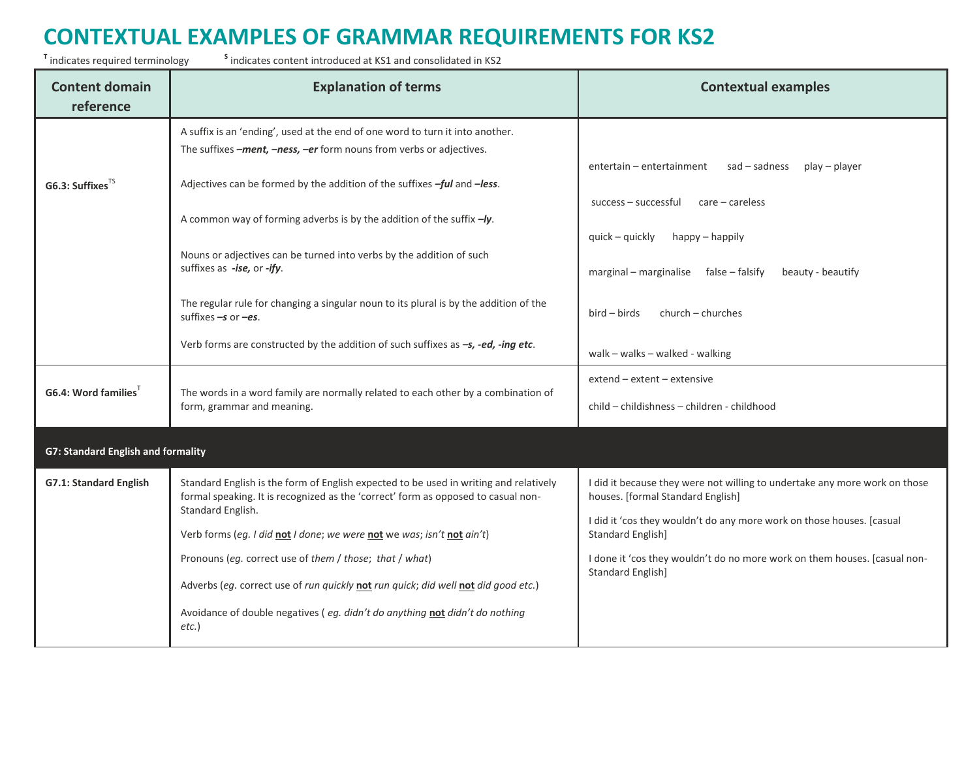<sup>T</sup> indicates required terminology s

| <b>Content domain</b><br>reference        | <b>Explanation of terms</b>                                                                                                                                                | <b>Contextual examples</b>                                                                                      |
|-------------------------------------------|----------------------------------------------------------------------------------------------------------------------------------------------------------------------------|-----------------------------------------------------------------------------------------------------------------|
|                                           | A suffix is an 'ending', used at the end of one word to turn it into another.<br>The suffixes -ment, -ness, -er form nouns from verbs or adjectives.                       |                                                                                                                 |
| G6.3: Suffixes <sup>TS</sup>              | Adjectives can be formed by the addition of the suffixes -ful and -less.                                                                                                   | sad – sadness<br>entertain - entertainment<br>play – player<br>$success - successful$ $care - careless$         |
|                                           | A common way of forming adverbs is by the addition of the suffix $-y$ .                                                                                                    | quick – quickly<br>happy - happily                                                                              |
|                                           | Nouns or adjectives can be turned into verbs by the addition of such<br>suffixes as -ise, or -ify.                                                                         | beauty - beautify<br>marginal - marginalise false - falsify                                                     |
|                                           | The regular rule for changing a singular noun to its plural is by the addition of the<br>suffixes $-s$ or $-es$ .                                                          | $bird - birds$<br>church – churches                                                                             |
|                                           | Verb forms are constructed by the addition of such suffixes as $-s$ , -ed, -ing etc.                                                                                       | walk - walks - walked - walking                                                                                 |
| G6.4: Word families                       | The words in a word family are normally related to each other by a combination of<br>form, grammar and meaning.                                                            | extend - extent - extensive<br>child - childishness - children - childhood                                      |
| <b>G7: Standard English and formality</b> |                                                                                                                                                                            |                                                                                                                 |
| G7.1: Standard English                    | Standard English is the form of English expected to be used in writing and relatively<br>formal speaking. It is recognized as the 'correct' form as opposed to casual non- | I did it because they were not willing to undertake any more work on those<br>houses. [formal Standard English] |
|                                           | Standard English.<br>Verb forms (eg. I did not I done; we were not we was; isn't not ain't)                                                                                | I did it 'cos they wouldn't do any more work on those houses. [casual<br><b>Standard English]</b>               |
|                                           | Pronouns (eg. correct use of them / those; that / what)                                                                                                                    | I done it 'cos they wouldn't do no more work on them houses. [casual non-<br><b>Standard English]</b>           |
|                                           | Adverbs (eg. correct use of run quickly not run quick; did well not did good etc.)                                                                                         |                                                                                                                 |
|                                           | Avoidance of double negatives (eg. didn't do anything not didn't do nothing<br>$etc.$ )                                                                                    |                                                                                                                 |